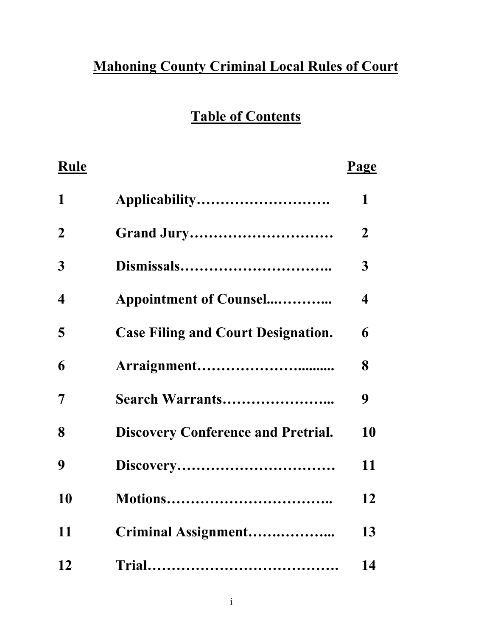# Mahoning County Criminal Local Rules of Court

# Table of Contents

| Rule                    |                                           | Page           |
|-------------------------|-------------------------------------------|----------------|
| $\mathbf{1}$            |                                           | $\mathbf{1}$   |
| $\boldsymbol{2}$        |                                           | $\overline{2}$ |
| 3                       |                                           | 3              |
| $\overline{\mathbf{4}}$ | <b>Appointment of Counsel</b>             | 4              |
| 5                       | <b>Case Filing and Court Designation.</b> | 6              |
| 6                       |                                           | 8              |
| 7                       | Search Warrants                           | 9              |
| 8                       | <b>Discovery Conference and Pretrial.</b> | 10             |
| 9                       |                                           | 11             |
| 10                      |                                           | 12             |
| 11                      | Criminal Assignment                       | 13             |
| 12                      |                                           | 14             |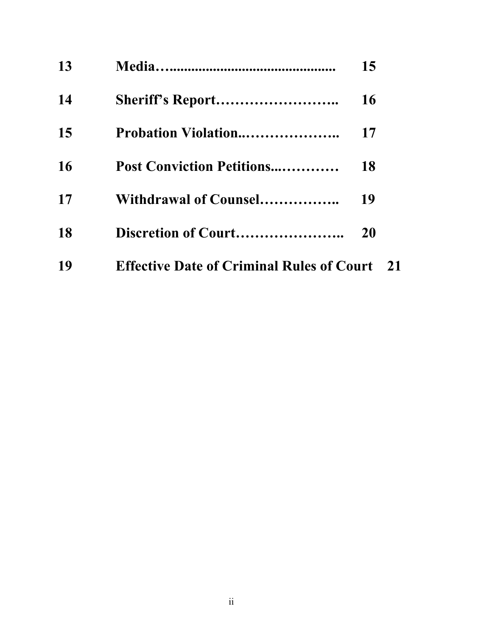| 13 |                                                  | 15 |    |
|----|--------------------------------------------------|----|----|
| 14 | Sheriff's Report                                 | 16 |    |
| 15 | Probation Violation                              | 17 |    |
| 16 | <b>Post Conviction Petitions</b>                 | 18 |    |
| 17 | Withdrawal of Counsel                            | 19 |    |
| 18 | Discretion of Court                              | 20 |    |
| 19 | <b>Effective Date of Criminal Rules of Court</b> |    | 21 |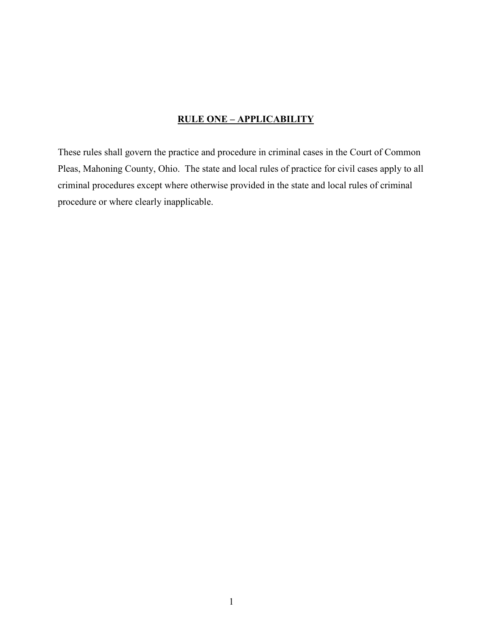## RULE ONE – APPLICABILITY

These rules shall govern the practice and procedure in criminal cases in the Court of Common Pleas, Mahoning County, Ohio. The state and local rules of practice for civil cases apply to all criminal procedures except where otherwise provided in the state and local rules of criminal procedure or where clearly inapplicable.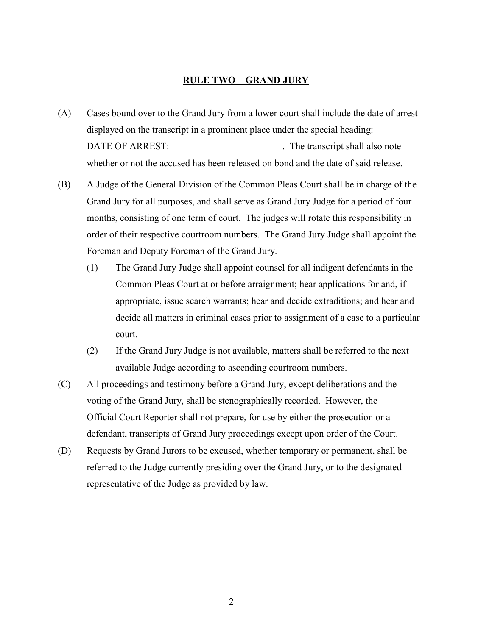### RULE TWO – GRAND JURY

- (A) Cases bound over to the Grand Jury from a lower court shall include the date of arrest displayed on the transcript in a prominent place under the special heading: DATE OF ARREST: The transcript shall also note whether or not the accused has been released on bond and the date of said release.
- (B) A Judge of the General Division of the Common Pleas Court shall be in charge of the Grand Jury for all purposes, and shall serve as Grand Jury Judge for a period of four months, consisting of one term of court. The judges will rotate this responsibility in order of their respective courtroom numbers. The Grand Jury Judge shall appoint the Foreman and Deputy Foreman of the Grand Jury.
	- (1) The Grand Jury Judge shall appoint counsel for all indigent defendants in the Common Pleas Court at or before arraignment; hear applications for and, if appropriate, issue search warrants; hear and decide extraditions; and hear and decide all matters in criminal cases prior to assignment of a case to a particular court.
	- (2) If the Grand Jury Judge is not available, matters shall be referred to the next available Judge according to ascending courtroom numbers.
- (C) All proceedings and testimony before a Grand Jury, except deliberations and the voting of the Grand Jury, shall be stenographically recorded. However, the Official Court Reporter shall not prepare, for use by either the prosecution or a defendant, transcripts of Grand Jury proceedings except upon order of the Court.
- (D) Requests by Grand Jurors to be excused, whether temporary or permanent, shall be referred to the Judge currently presiding over the Grand Jury, or to the designated representative of the Judge as provided by law.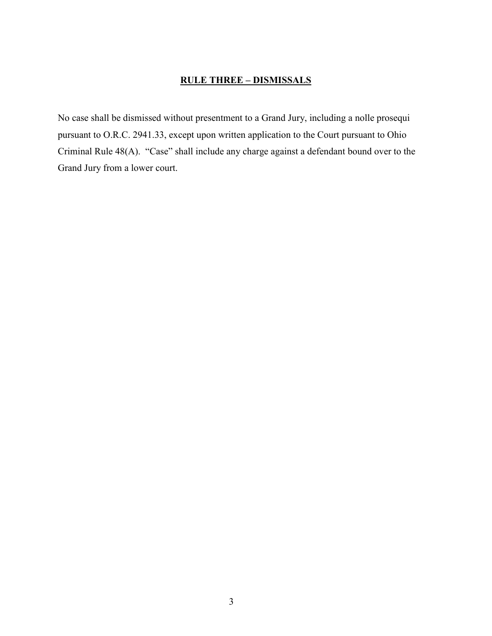## RULE THREE – DISMISSALS

No case shall be dismissed without presentment to a Grand Jury, including a nolle prosequi pursuant to O.R.C. 2941.33, except upon written application to the Court pursuant to Ohio Criminal Rule 48(A). "Case" shall include any charge against a defendant bound over to the Grand Jury from a lower court.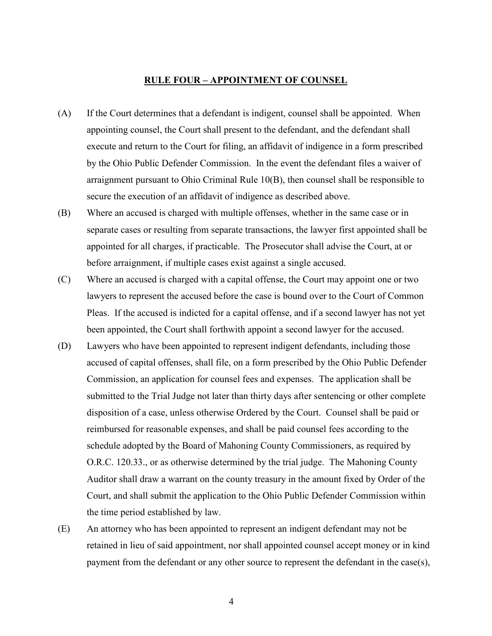#### RULE FOUR – APPOINTMENT OF COUNSEL

- (A) If the Court determines that a defendant is indigent, counsel shall be appointed. When appointing counsel, the Court shall present to the defendant, and the defendant shall execute and return to the Court for filing, an affidavit of indigence in a form prescribed by the Ohio Public Defender Commission. In the event the defendant files a waiver of arraignment pursuant to Ohio Criminal Rule 10(B), then counsel shall be responsible to secure the execution of an affidavit of indigence as described above.
- (B) Where an accused is charged with multiple offenses, whether in the same case or in separate cases or resulting from separate transactions, the lawyer first appointed shall be appointed for all charges, if practicable. The Prosecutor shall advise the Court, at or before arraignment, if multiple cases exist against a single accused.
- (C) Where an accused is charged with a capital offense, the Court may appoint one or two lawyers to represent the accused before the case is bound over to the Court of Common Pleas. If the accused is indicted for a capital offense, and if a second lawyer has not yet been appointed, the Court shall forthwith appoint a second lawyer for the accused.
- (D) Lawyers who have been appointed to represent indigent defendants, including those accused of capital offenses, shall file, on a form prescribed by the Ohio Public Defender Commission, an application for counsel fees and expenses. The application shall be submitted to the Trial Judge not later than thirty days after sentencing or other complete disposition of a case, unless otherwise Ordered by the Court. Counsel shall be paid or reimbursed for reasonable expenses, and shall be paid counsel fees according to the schedule adopted by the Board of Mahoning County Commissioners, as required by O.R.C. 120.33., or as otherwise determined by the trial judge. The Mahoning County Auditor shall draw a warrant on the county treasury in the amount fixed by Order of the Court, and shall submit the application to the Ohio Public Defender Commission within the time period established by law.
- (E) An attorney who has been appointed to represent an indigent defendant may not be retained in lieu of said appointment, nor shall appointed counsel accept money or in kind payment from the defendant or any other source to represent the defendant in the case(s),

4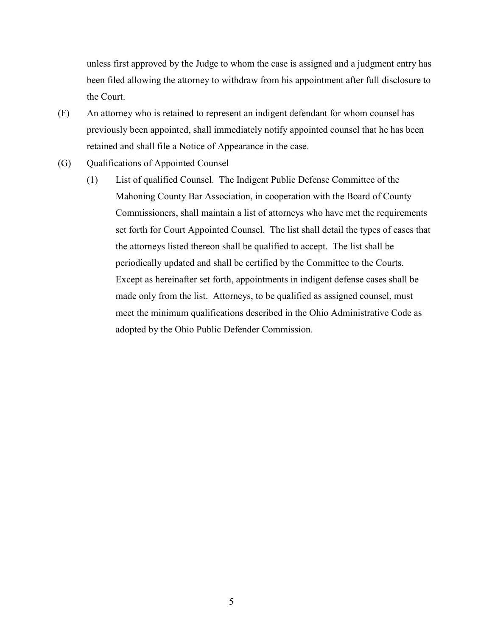unless first approved by the Judge to whom the case is assigned and a judgment entry has been filed allowing the attorney to withdraw from his appointment after full disclosure to the Court.

- (F) An attorney who is retained to represent an indigent defendant for whom counsel has previously been appointed, shall immediately notify appointed counsel that he has been retained and shall file a Notice of Appearance in the case.
- (G) Qualifications of Appointed Counsel
	- (1) List of qualified Counsel. The Indigent Public Defense Committee of the Mahoning County Bar Association, in cooperation with the Board of County Commissioners, shall maintain a list of attorneys who have met the requirements set forth for Court Appointed Counsel. The list shall detail the types of cases that the attorneys listed thereon shall be qualified to accept. The list shall be periodically updated and shall be certified by the Committee to the Courts. Except as hereinafter set forth, appointments in indigent defense cases shall be made only from the list. Attorneys, to be qualified as assigned counsel, must meet the minimum qualifications described in the Ohio Administrative Code as adopted by the Ohio Public Defender Commission.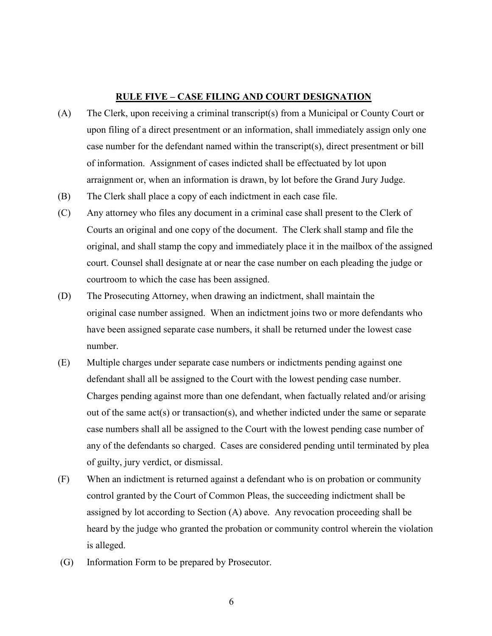#### RULE FIVE – CASE FILING AND COURT DESIGNATION

- (A) The Clerk, upon receiving a criminal transcript(s) from a Municipal or County Court or upon filing of a direct presentment or an information, shall immediately assign only one case number for the defendant named within the transcript(s), direct presentment or bill of information. Assignment of cases indicted shall be effectuated by lot upon arraignment or, when an information is drawn, by lot before the Grand Jury Judge.
- (B) The Clerk shall place a copy of each indictment in each case file.
- (C) Any attorney who files any document in a criminal case shall present to the Clerk of Courts an original and one copy of the document. The Clerk shall stamp and file the original, and shall stamp the copy and immediately place it in the mailbox of the assigned court. Counsel shall designate at or near the case number on each pleading the judge or courtroom to which the case has been assigned.
- (D) The Prosecuting Attorney, when drawing an indictment, shall maintain the original case number assigned. When an indictment joins two or more defendants who have been assigned separate case numbers, it shall be returned under the lowest case number.
- (E) Multiple charges under separate case numbers or indictments pending against one defendant shall all be assigned to the Court with the lowest pending case number. Charges pending against more than one defendant, when factually related and/or arising out of the same act(s) or transaction(s), and whether indicted under the same or separate case numbers shall all be assigned to the Court with the lowest pending case number of any of the defendants so charged. Cases are considered pending until terminated by plea of guilty, jury verdict, or dismissal.
- (F) When an indictment is returned against a defendant who is on probation or community control granted by the Court of Common Pleas, the succeeding indictment shall be assigned by lot according to Section (A) above. Any revocation proceeding shall be heard by the judge who granted the probation or community control wherein the violation is alleged.
- (G) Information Form to be prepared by Prosecutor.
	- 6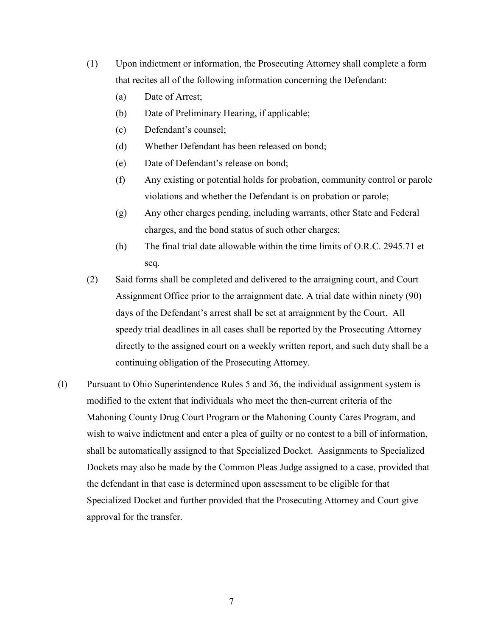- (1) Upon indictment or information, the Prosecuting Attorney shall complete a form that recites all of the following information concerning the Defendant:
	- (a) Date of Arrest;
	- (b) Date of Preliminary Hearing, if applicable;
	- (c) Defendant's counsel;
	- (d) Whether Defendant has been released on bond;
	- (e) Date of Defendant's release on bond;
	- (f) Any existing or potential holds for probation, community control or parole violations and whether the Defendant is on probation or parole;
	- (g) Any other charges pending, including warrants, other State and Federal charges, and the bond status of such other charges;
	- (h) The final trial date allowable within the time limits of O.R.C. 2945.71 et seq.
- (2) Said forms shall be completed and delivered to the arraigning court, and Court Assignment Office prior to the arraignment date. A trial date within ninety (90) days of the Defendant's arrest shall be set at arraignment by the Court. All speedy trial deadlines in all cases shall be reported by the Prosecuting Attorney directly to the assigned court on a weekly written report, and such duty shall be a continuing obligation of the Prosecuting Attorney.
- (I) Pursuant to Ohio Superintendence Rules 5 and 36, the individual assignment system is modified to the extent that individuals who meet the then-current criteria of the Mahoning County Drug Court Program or the Mahoning County Cares Program, and wish to waive indictment and enter a plea of guilty or no contest to a bill of information, shall be automatically assigned to that Specialized Docket. Assignments to Specialized Dockets may also be made by the Common Pleas Judge assigned to a case, provided that the defendant in that case is determined upon assessment to be eligible for that Specialized Docket and further provided that the Prosecuting Attorney and Court give approval for the transfer.

7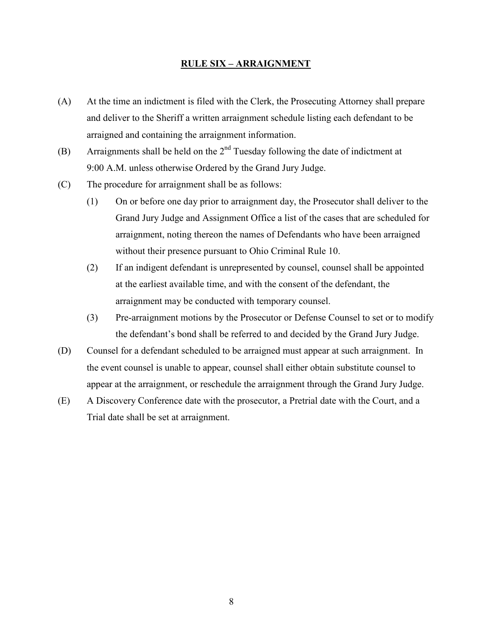## RULE SIX – ARRAIGNMENT

- (A) At the time an indictment is filed with the Clerk, the Prosecuting Attorney shall prepare and deliver to the Sheriff a written arraignment schedule listing each defendant to be arraigned and containing the arraignment information.
- (B) Arraignments shall be held on the  $2<sup>nd</sup>$  Tuesday following the date of indictment at 9:00 A.M. unless otherwise Ordered by the Grand Jury Judge.
- (C) The procedure for arraignment shall be as follows:
	- (1) On or before one day prior to arraignment day, the Prosecutor shall deliver to the Grand Jury Judge and Assignment Office a list of the cases that are scheduled for arraignment, noting thereon the names of Defendants who have been arraigned without their presence pursuant to Ohio Criminal Rule 10.
	- (2) If an indigent defendant is unrepresented by counsel, counsel shall be appointed at the earliest available time, and with the consent of the defendant, the arraignment may be conducted with temporary counsel.
	- (3) Pre-arraignment motions by the Prosecutor or Defense Counsel to set or to modify the defendant's bond shall be referred to and decided by the Grand Jury Judge.
- (D) Counsel for a defendant scheduled to be arraigned must appear at such arraignment. In the event counsel is unable to appear, counsel shall either obtain substitute counsel to appear at the arraignment, or reschedule the arraignment through the Grand Jury Judge.
- (E) A Discovery Conference date with the prosecutor, a Pretrial date with the Court, and a Trial date shall be set at arraignment.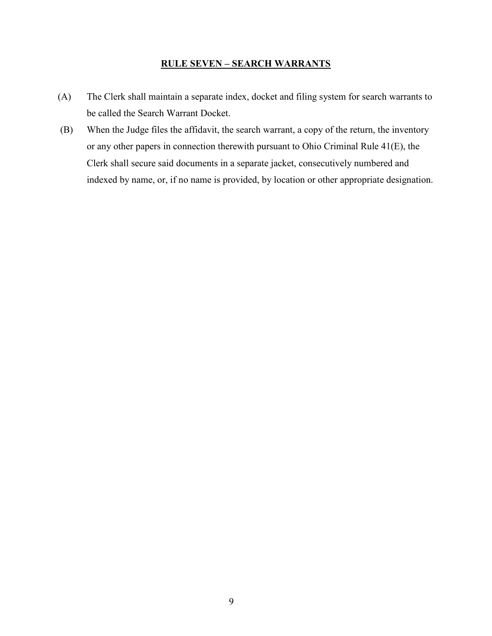## RULE SEVEN – SEARCH WARRANTS

- (A) The Clerk shall maintain a separate index, docket and filing system for search warrants to be called the Search Warrant Docket.
- (B) When the Judge files the affidavit, the search warrant, a copy of the return, the inventory or any other papers in connection therewith pursuant to Ohio Criminal Rule 41(E), the Clerk shall secure said documents in a separate jacket, consecutively numbered and indexed by name, or, if no name is provided, by location or other appropriate designation.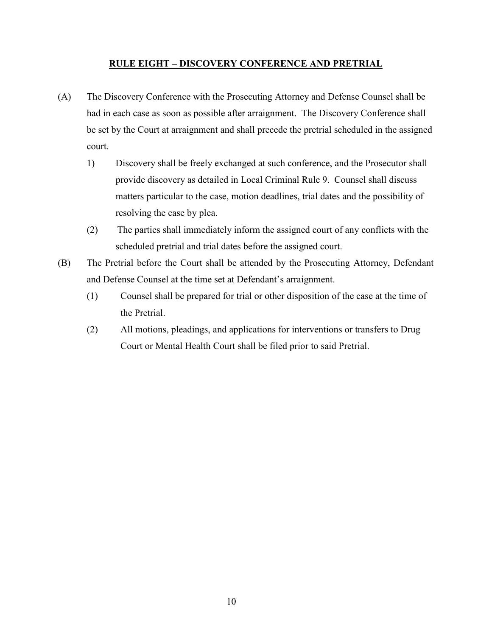## RULE EIGHT – DISCOVERY CONFERENCE AND PRETRIAL

- (A) The Discovery Conference with the Prosecuting Attorney and Defense Counsel shall be had in each case as soon as possible after arraignment. The Discovery Conference shall be set by the Court at arraignment and shall precede the pretrial scheduled in the assigned court.
	- 1) Discovery shall be freely exchanged at such conference, and the Prosecutor shall provide discovery as detailed in Local Criminal Rule 9. Counsel shall discuss matters particular to the case, motion deadlines, trial dates and the possibility of resolving the case by plea.
	- (2) The parties shall immediately inform the assigned court of any conflicts with the scheduled pretrial and trial dates before the assigned court.
- (B) The Pretrial before the Court shall be attended by the Prosecuting Attorney, Defendant and Defense Counsel at the time set at Defendant's arraignment.
	- (1) Counsel shall be prepared for trial or other disposition of the case at the time of the Pretrial.
	- (2) All motions, pleadings, and applications for interventions or transfers to Drug Court or Mental Health Court shall be filed prior to said Pretrial.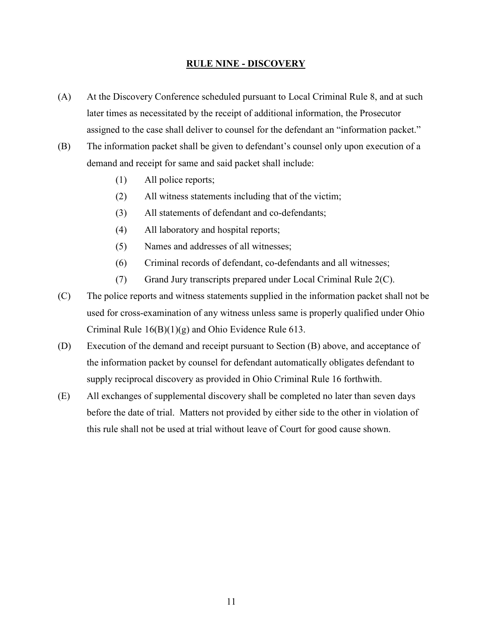## RULE NINE - DISCOVERY

- (A) At the Discovery Conference scheduled pursuant to Local Criminal Rule 8, and at such later times as necessitated by the receipt of additional information, the Prosecutor assigned to the case shall deliver to counsel for the defendant an "information packet."
- (B) The information packet shall be given to defendant's counsel only upon execution of a demand and receipt for same and said packet shall include:
	- (1) All police reports;
	- (2) All witness statements including that of the victim;
	- (3) All statements of defendant and co-defendants;
	- (4) All laboratory and hospital reports;
	- (5) Names and addresses of all witnesses;
	- (6) Criminal records of defendant, co-defendants and all witnesses;
	- (7) Grand Jury transcripts prepared under Local Criminal Rule 2(C).
- (C) The police reports and witness statements supplied in the information packet shall not be used for cross-examination of any witness unless same is properly qualified under Ohio Criminal Rule 16(B)(1)(g) and Ohio Evidence Rule 613.
- (D) Execution of the demand and receipt pursuant to Section (B) above, and acceptance of the information packet by counsel for defendant automatically obligates defendant to supply reciprocal discovery as provided in Ohio Criminal Rule 16 forthwith.
- (E) All exchanges of supplemental discovery shall be completed no later than seven days before the date of trial. Matters not provided by either side to the other in violation of this rule shall not be used at trial without leave of Court for good cause shown.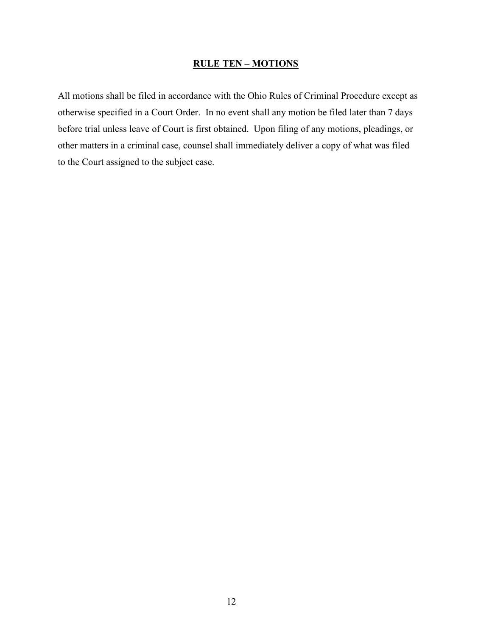## RULE TEN – MOTIONS

All motions shall be filed in accordance with the Ohio Rules of Criminal Procedure except as otherwise specified in a Court Order. In no event shall any motion be filed later than 7 days before trial unless leave of Court is first obtained. Upon filing of any motions, pleadings, or other matters in a criminal case, counsel shall immediately deliver a copy of what was filed to the Court assigned to the subject case.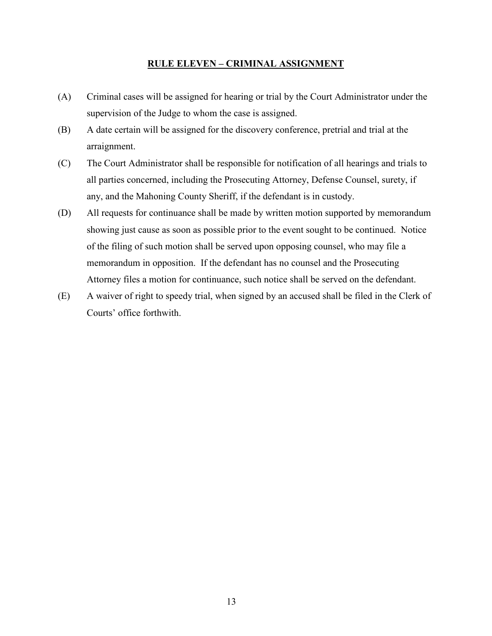## RULE ELEVEN – CRIMINAL ASSIGNMENT

- (A) Criminal cases will be assigned for hearing or trial by the Court Administrator under the supervision of the Judge to whom the case is assigned.
- (B) A date certain will be assigned for the discovery conference, pretrial and trial at the arraignment.
- (C) The Court Administrator shall be responsible for notification of all hearings and trials to all parties concerned, including the Prosecuting Attorney, Defense Counsel, surety, if any, and the Mahoning County Sheriff, if the defendant is in custody.
- (D) All requests for continuance shall be made by written motion supported by memorandum showing just cause as soon as possible prior to the event sought to be continued. Notice of the filing of such motion shall be served upon opposing counsel, who may file a memorandum in opposition. If the defendant has no counsel and the Prosecuting Attorney files a motion for continuance, such notice shall be served on the defendant.
- (E) A waiver of right to speedy trial, when signed by an accused shall be filed in the Clerk of Courts' office forthwith.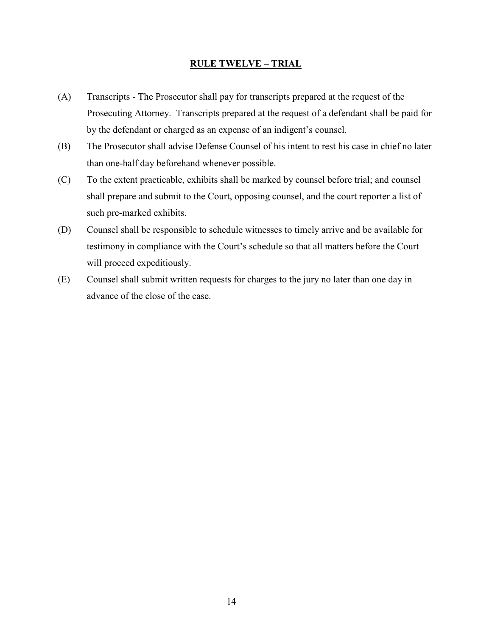#### RULE TWELVE – TRIAL

- (A) Transcripts The Prosecutor shall pay for transcripts prepared at the request of the Prosecuting Attorney. Transcripts prepared at the request of a defendant shall be paid for by the defendant or charged as an expense of an indigent's counsel.
- (B) The Prosecutor shall advise Defense Counsel of his intent to rest his case in chief no later than one-half day beforehand whenever possible.
- (C) To the extent practicable, exhibits shall be marked by counsel before trial; and counsel shall prepare and submit to the Court, opposing counsel, and the court reporter a list of such pre-marked exhibits.
- (D) Counsel shall be responsible to schedule witnesses to timely arrive and be available for testimony in compliance with the Court's schedule so that all matters before the Court will proceed expeditiously.
- (E) Counsel shall submit written requests for charges to the jury no later than one day in advance of the close of the case.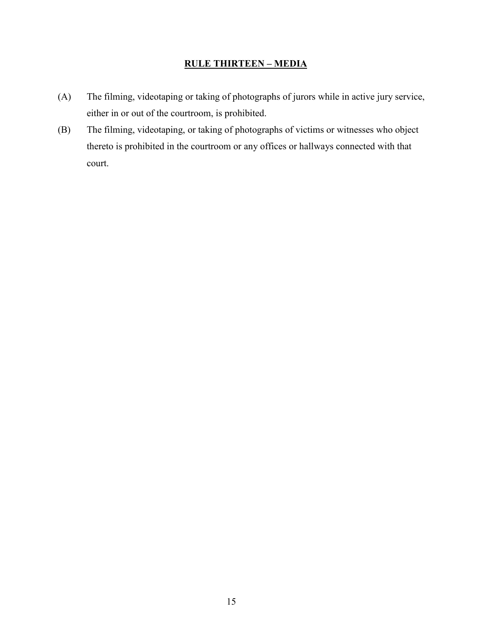## RULE THIRTEEN – MEDIA

- (A) The filming, videotaping or taking of photographs of jurors while in active jury service, either in or out of the courtroom, is prohibited.
- (B) The filming, videotaping, or taking of photographs of victims or witnesses who object thereto is prohibited in the courtroom or any offices or hallways connected with that court.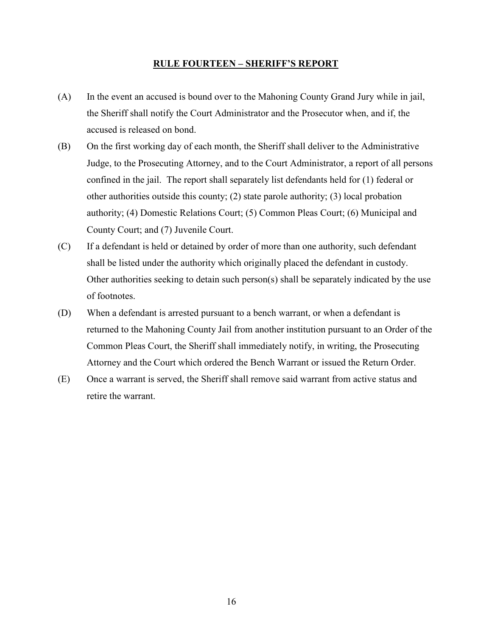## RULE FOURTEEN – SHERIFF'S REPORT

- (A) In the event an accused is bound over to the Mahoning County Grand Jury while in jail, the Sheriff shall notify the Court Administrator and the Prosecutor when, and if, the accused is released on bond.
- (B) On the first working day of each month, the Sheriff shall deliver to the Administrative Judge, to the Prosecuting Attorney, and to the Court Administrator, a report of all persons confined in the jail. The report shall separately list defendants held for (1) federal or other authorities outside this county; (2) state parole authority; (3) local probation authority; (4) Domestic Relations Court; (5) Common Pleas Court; (6) Municipal and County Court; and (7) Juvenile Court.
- (C) If a defendant is held or detained by order of more than one authority, such defendant shall be listed under the authority which originally placed the defendant in custody. Other authorities seeking to detain such person(s) shall be separately indicated by the use of footnotes.
- (D) When a defendant is arrested pursuant to a bench warrant, or when a defendant is returned to the Mahoning County Jail from another institution pursuant to an Order of the Common Pleas Court, the Sheriff shall immediately notify, in writing, the Prosecuting Attorney and the Court which ordered the Bench Warrant or issued the Return Order.
- (E) Once a warrant is served, the Sheriff shall remove said warrant from active status and retire the warrant.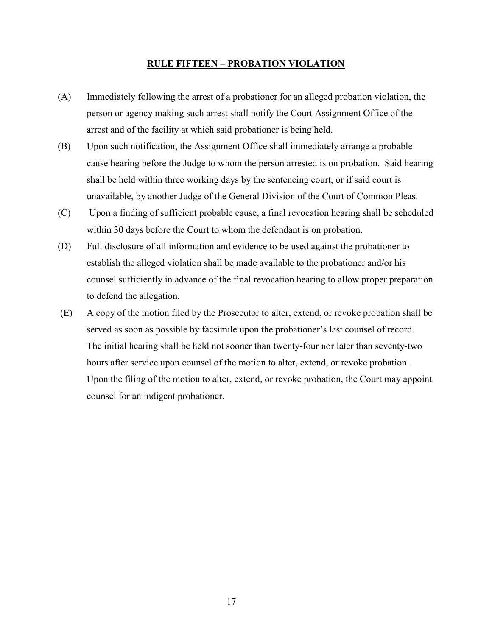## RULE FIFTEEN – PROBATION VIOLATION

- (A) Immediately following the arrest of a probationer for an alleged probation violation, the person or agency making such arrest shall notify the Court Assignment Office of the arrest and of the facility at which said probationer is being held.
- (B) Upon such notification, the Assignment Office shall immediately arrange a probable cause hearing before the Judge to whom the person arrested is on probation. Said hearing shall be held within three working days by the sentencing court, or if said court is unavailable, by another Judge of the General Division of the Court of Common Pleas.
- (C) Upon a finding of sufficient probable cause, a final revocation hearing shall be scheduled within 30 days before the Court to whom the defendant is on probation.
- (D) Full disclosure of all information and evidence to be used against the probationer to establish the alleged violation shall be made available to the probationer and/or his counsel sufficiently in advance of the final revocation hearing to allow proper preparation to defend the allegation.
- (E) A copy of the motion filed by the Prosecutor to alter, extend, or revoke probation shall be served as soon as possible by facsimile upon the probationer's last counsel of record. The initial hearing shall be held not sooner than twenty-four nor later than seventy-two hours after service upon counsel of the motion to alter, extend, or revoke probation. Upon the filing of the motion to alter, extend, or revoke probation, the Court may appoint counsel for an indigent probationer.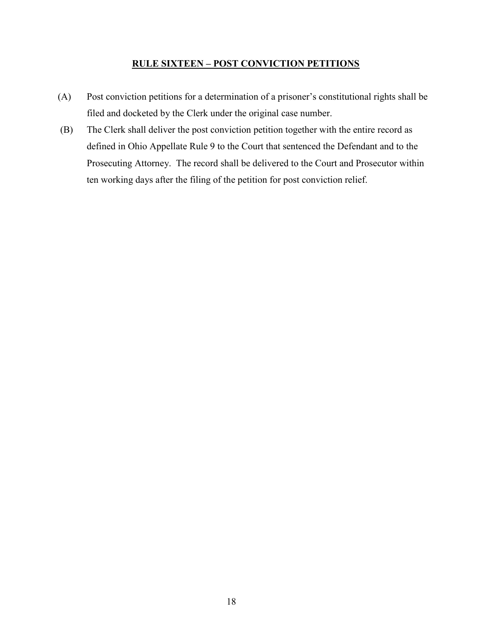## RULE SIXTEEN – POST CONVICTION PETITIONS

- (A) Post conviction petitions for a determination of a prisoner's constitutional rights shall be filed and docketed by the Clerk under the original case number.
- (B) The Clerk shall deliver the post conviction petition together with the entire record as defined in Ohio Appellate Rule 9 to the Court that sentenced the Defendant and to the Prosecuting Attorney. The record shall be delivered to the Court and Prosecutor within ten working days after the filing of the petition for post conviction relief.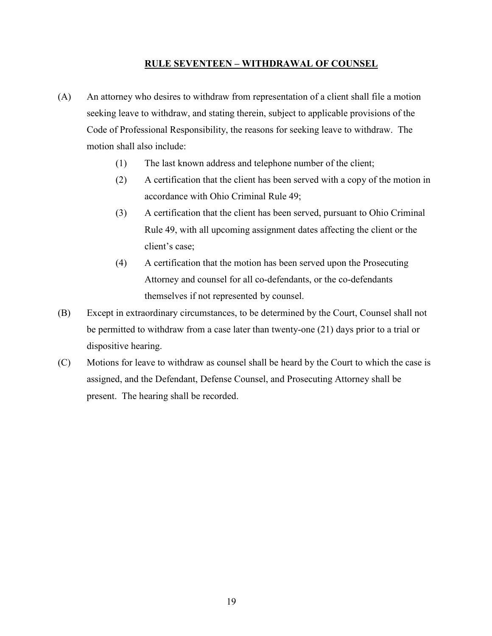## RULE SEVENTEEN – WITHDRAWAL OF COUNSEL

- (A) An attorney who desires to withdraw from representation of a client shall file a motion seeking leave to withdraw, and stating therein, subject to applicable provisions of the Code of Professional Responsibility, the reasons for seeking leave to withdraw. The motion shall also include:
	- (1) The last known address and telephone number of the client;
	- (2) A certification that the client has been served with a copy of the motion in accordance with Ohio Criminal Rule 49;
	- (3) A certification that the client has been served, pursuant to Ohio Criminal Rule 49, with all upcoming assignment dates affecting the client or the client's case;
	- (4) A certification that the motion has been served upon the Prosecuting Attorney and counsel for all co-defendants, or the co-defendants themselves if not represented by counsel.
- (B) Except in extraordinary circumstances, to be determined by the Court, Counsel shall not be permitted to withdraw from a case later than twenty-one (21) days prior to a trial or dispositive hearing.
- (C) Motions for leave to withdraw as counsel shall be heard by the Court to which the case is assigned, and the Defendant, Defense Counsel, and Prosecuting Attorney shall be present. The hearing shall be recorded.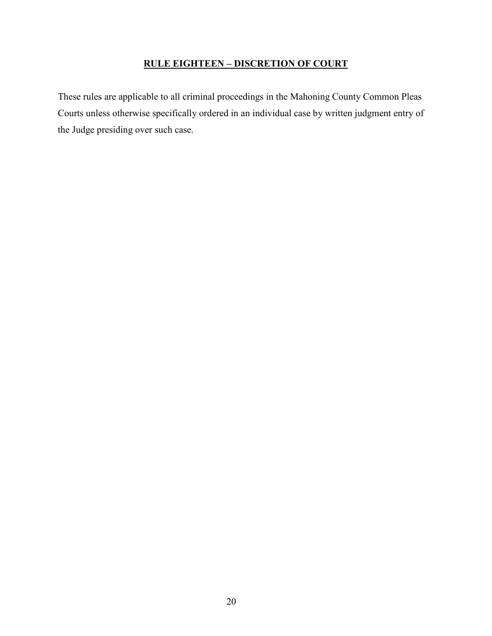## RULE EIGHTEEN – DISCRETION OF COURT

These rules are applicable to all criminal proceedings in the Mahoning County Common Pleas Courts unless otherwise specifically ordered in an individual case by written judgment entry of the Judge presiding over such case.